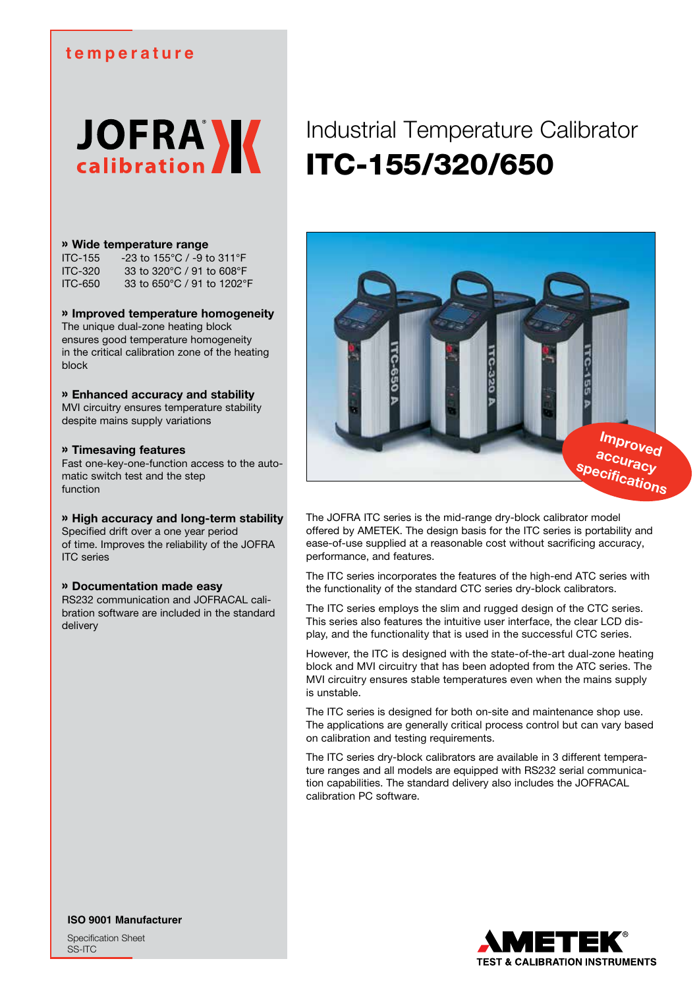### **temperature**

**JOFRA** 

#### » **Wide temperature range**

| ITC-155 | -23 to 155°C / -9 to 311°F   |
|---------|------------------------------|
| ITC-320 | 33 to 320 °C / 91 to 608 °F  |
| ITC-650 | 33 to 650 °C / 91 to 1202 °F |

#### » **Improved temperature homogeneity**

The unique dual-zone heating block ensures good temperature homogeneity in the critical calibration zone of the heating block

#### » **Enhanced accuracy and stability**

MVI circuitry ensures temperature stability despite mains supply variations

#### » **Timesaving features**

Fast one-key-one-function access to the automatic switch test and the step function

#### » **High accuracy and long-term stability**

Specified drift over a one year period of time. Improves the reliability of the JOFRA ITC series

#### » **Documentation made easy**

RS232 communication and JOFRACAL calibration software are included in the standard delivery

# Industrial Temperature Calibrator ITC-155/320/650



The JOFRA ITC series is the mid-range dry-block calibrator model offered by AMETEK. The design basis for the ITC series is portability and ease-of-use supplied at a reasonable cost without sacrificing accuracy, performance, and features.

The ITC series incorporates the features of the high-end ATC series with the functionality of the standard CTC series dry-block calibrators.

The ITC series employs the slim and rugged design of the CTC series. This series also features the intuitive user interface, the clear LCD display, and the functionality that is used in the successful CTC series.

However, the ITC is designed with the state-of-the-art dual-zone heating block and MVI circuitry that has been adopted from the ATC series. The MVI circuitry ensures stable temperatures even when the mains supply is unstable.

The ITC series is designed for both on-site and maintenance shop use. The applications are generally critical process control but can vary based on calibration and testing requirements.

The ITC series dry-block calibrators are available in 3 different temperature ranges and all models are equipped with RS232 serial communication capabilities. The standard delivery also includes the JOFRACAL calibration PC software.



**ISO 9001 Manufacturer**

Specification Sheet SS-ITC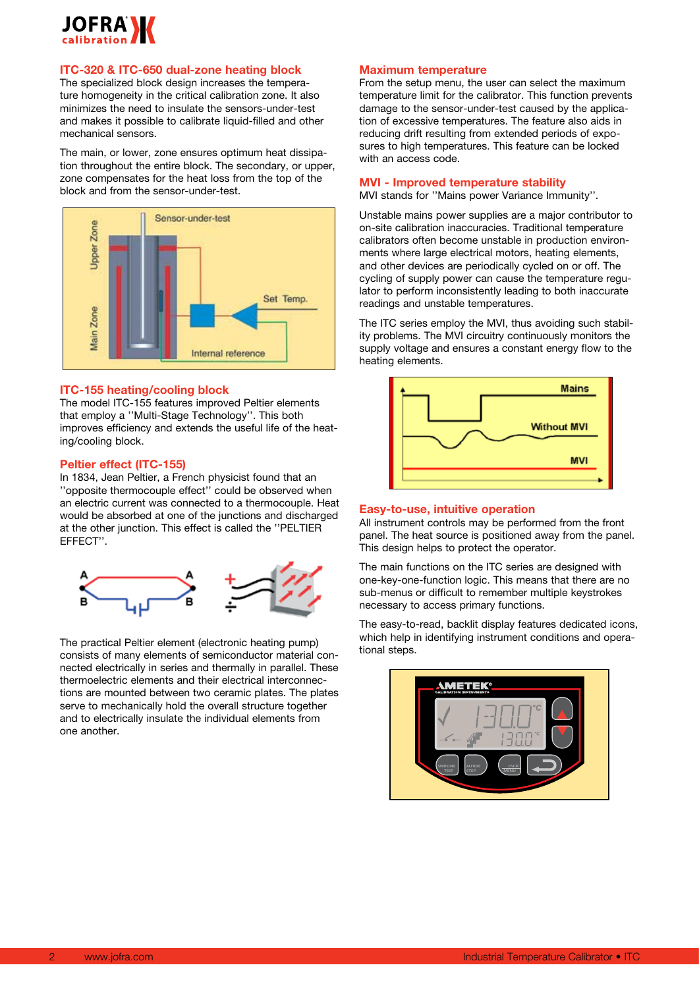

### **ITC-320 & ITC-650 dual-zone heating block**

The specialized block design increases the temperature homogeneity in the critical calibration zone. It also minimizes the need to insulate the sensors-under-test and makes it possible to calibrate liquid-filled and other mechanical sensors.

The main, or lower, zone ensures optimum heat dissipation throughout the entire block. The secondary, or upper, zone compensates for the heat loss from the top of the block and from the sensor-under-test.



#### **ITC-155 heating/cooling block**

The model ITC-155 features improved Peltier elements that employ a ''Multi-Stage Technology''. This both improves efficiency and extends the useful life of the heating/cooling block.

#### **Peltier effect (ITC-155)**

In 1834, Jean Peltier, a French physicist found that an ''opposite thermocouple effect'' could be observed when an electric current was connected to a thermocouple. Heat would be absorbed at one of the junctions and discharged at the other junction. This effect is called the ''PELTIER EFFECT''.



The practical Peltier element (electronic heating pump) consists of many elements of semiconductor material connected electrically in series and thermally in parallel. These thermoelectric elements and their electrical interconnections are mounted between two ceramic plates. The plates serve to mechanically hold the overall structure together and to electrically insulate the individual elements from one another.

#### **Maximum temperature**

From the setup menu, the user can select the maximum temperature limit for the calibrator. This function prevents damage to the sensor-under-test caused by the application of excessive temperatures. The feature also aids in reducing drift resulting from extended periods of exposures to high temperatures. This feature can be locked with an access code.

#### **MVI - Improved temperature stability**

MVI stands for ''Mains power Variance Immunity''.

Unstable mains power supplies are a major contributor to on-site calibration inaccuracies. Traditional temperature calibrators often become unstable in production environments where large electrical motors, heating elements, and other devices are periodically cycled on or off. The cycling of supply power can cause the temperature regulator to perform inconsistently leading to both inaccurate readings and unstable temperatures.

The ITC series employ the MVI, thus avoiding such stability problems. The MVI circuitry continuously monitors the supply voltage and ensures a constant energy flow to the heating elements.



#### **Easy-to-use, intuitive operation**

All instrument controls may be performed from the front panel. The heat source is positioned away from the panel. This design helps to protect the operator.

The main functions on the ITC series are designed with one-key-one-function logic. This means that there are no sub-menus or difficult to remember multiple keystrokes necessary to access primary functions.

The easy-to-read, backlit display features dedicated icons, which help in identifying instrument conditions and operational steps.

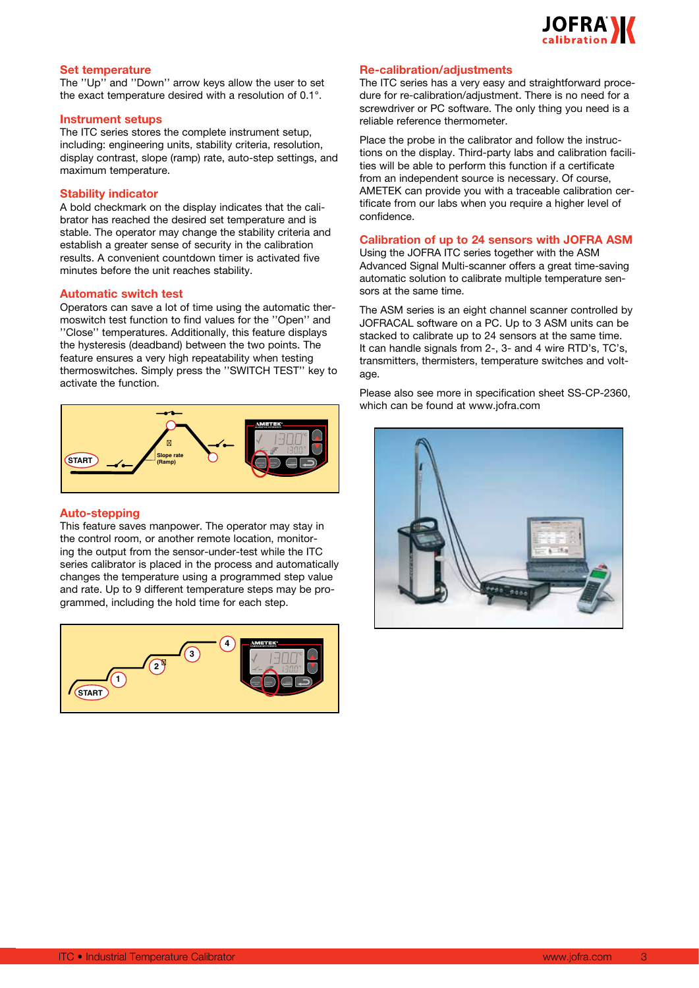

#### **Set temperature**

The ''Up'' and ''Down'' arrow keys allow the user to set the exact temperature desired with a resolution of 0.1°.

#### **Instrument setups**

The ITC series stores the complete instrument setup, including: engineering units, stability criteria, resolution, display contrast, slope (ramp) rate, auto-step settings, and maximum temperature.

#### **Stability indicator**

A bold checkmark on the display indicates that the calibrator has reached the desired set temperature and is stable. The operator may change the stability criteria and establish a greater sense of security in the calibration results. A convenient countdown timer is activated five minutes before the unit reaches stability.

#### **Automatic switch test**

Operators can save a lot of time using the automatic thermoswitch test function to find values for the ''Open'' and ''Close'' temperatures. Additionally, this feature displays the hysteresis (deadband) between the two points. The feature ensures a very high repeatability when testing thermoswitches. Simply press the ''SWITCH TEST'' key to activate the function.



#### **Auto-stepping**

This feature saves manpower. The operator may stay in the control room, or another remote location, monitoring the output from the sensor-under-test while the ITC series calibrator is placed in the process and automatically changes the temperature using a programmed step value and rate. Up to 9 different temperature steps may be programmed, including the hold time for each step.



#### **Re-calibration/adjustments**

The ITC series has a very easy and straightforward procedure for re-calibration/adjustment. There is no need for a screwdriver or PC software. The only thing you need is a reliable reference thermometer.

Place the probe in the calibrator and follow the instructions on the display. Third-party labs and calibration facilities will be able to perform this function if a certificate from an independent source is necessary. Of course, AMETEK can provide you with a traceable calibration certificate from our labs when you require a higher level of confidence.

#### **Calibration of up to 24 sensors with JOFRA ASM**

Using the JOFRA ITC series together with the ASM Advanced Signal Multi-scanner offers a great time-saving automatic solution to calibrate multiple temperature sensors at the same time.

The ASM series is an eight channel scanner controlled by JOFRACAL software on a PC. Up to 3 ASM units can be stacked to calibrate up to 24 sensors at the same time. It can handle signals from 2-, 3- and 4 wire RTD's, TC's, transmitters, thermisters, temperature switches and voltage.

Please also see more in specification sheet SS-CP-2360, which can be found at www.jofra.com

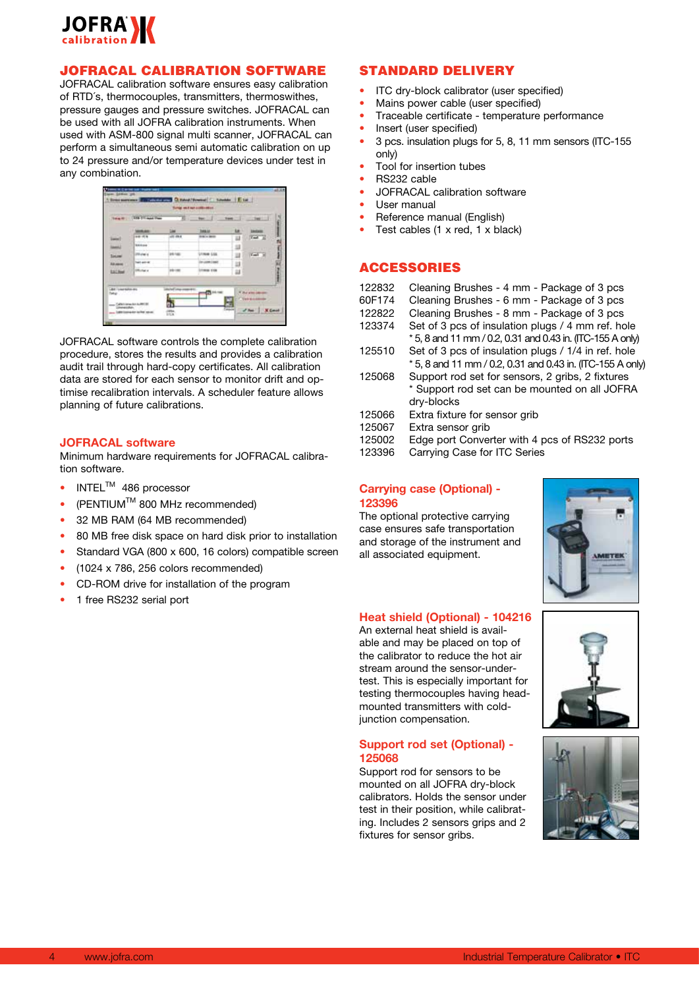

### JOFRACAL CALIBRATION SOFTWARE

JOFRACAL calibration software ensures easy calibration of RTD´s, thermocouples, transmitters, thermoswithes, pressure gauges and pressure switches. JOFRACAL can be used with all JOFRA calibration instruments. When used with ASM-800 signal multi scanner, JOFRACAL can perform a simultaneous semi automatic calibration on up to 24 pressure and/or temperature devices under test in any combination.

|                                 | Thing III 159-17 most Pres- | 22 Not                      |                                | <b>Supple</b> |                              |
|---------------------------------|-----------------------------|-----------------------------|--------------------------------|---------------|------------------------------|
|                                 | <b>WINDOW</b>               | w                           | <b>THRAIA</b>                  | u             | <b><i><u>Indiana</u></i></b> |
| liams!                          | 44 10 8                     | ARE AWAY                    | <b>British Month</b><br>$-100$ | ш             | <b>Cash and</b>              |
| <b>MARALL</b>                   | <b>SERVICE</b>              |                             |                                | 坦             |                              |
| <b>Takane</b>                   | <b>Division of</b>          | <b>US LIE</b>               | <b>FRIDE LSS</b>               | 豇             | <b>Cast H</b>                |
| <b>All Jakes</b>                | Tel: ant-40                 |                             | <b>ELEMENT</b>                 | 益             |                              |
| tached                          | <b>Michaia</b>              | <b>MAINE</b><br>n v         | <b>Linear Edg</b>              | 益             |                              |
|                                 |                             |                             |                                |               |                              |
| LBA I Louis Million and<br>fate |                             | <b>Infectious consenses</b> |                                |               | <b>Put which showed</b>      |

JOFRACAL software controls the complete calibration procedure, stores the results and provides a calibration audit trail through hard-copy certificates. All calibration data are stored for each sensor to monitor drift and optimise recalibration intervals. A scheduler feature allows planning of future calibrations.

#### **JOFRACAL software**

Minimum hardware requirements for JOFRACAL calibration software.

- $INTEL^{TM}$  486 processor
- $(PENTIUM<sup>TM</sup> 800 MHz$  recommended)
- 32 MB RAM (64 MB recommended)
- 80 MB free disk space on hard disk prior to installation
- Standard VGA (800 x 600, 16 colors) compatible screen
- $(1024 \times 786, 256$  colors recommended)
- CD-ROM drive for installation of the program
- 1 free RS232 serial port

### STANDARD DELIVERY

- • ITC dry-block calibrator (user specified)
- Mains power cable (user specified)
- Traceable certificate temperature performance
- Insert (user specified)
- 3 pcs. insulation plugs for 5, 8, 11 mm sensors (ITC-155) only)
- Tool for insertion tubes
- RS232 cable
- **JOFRACAL** calibration software
- User manual
- Reference manual (English)
- Test cables (1  $\times$  red, 1  $\times$  black)

#### ACCESSORIES

- 122832 Cleaning Brushes 4 mm Package of 3 pcs
- 60F174 Cleaning Brushes 6 mm Package of 3 pcs
- 122822 Cleaning Brushes 8 mm Package of 3 pcs
- 123374 Set of 3 pcs of insulation plugs / 4 mm ref. hole \* 5, 8 and 11 mm / 0.2, 0.31 and 0.43 in. (ITC-155 A only)
- 125510 Set of 3 pcs of insulation plugs / 1/4 in ref. hole
- \* 5, 8 and 11 mm / 0.2, 0.31 and 0.43 in. (ITC-155 A only) 125068 Support rod set for sensors, 2 gribs, 2 fixtures
- \* Support rod set can be mounted on all JOFRA dry-blocks
- 125066 Extra fixture for sensor grib
- 125067 Extra sensor grib
- 125002 Edge port Converter with 4 pcs of RS232 ports
- 123396 Carrying Case for ITC Series

#### **Carrying case (Optional) - 123396**

The optional protective carrying case ensures safe transportation and storage of the instrument and all associated equipment.



#### **Heat shield (Optional) - 104216**

An external heat shield is available and may be placed on top of the calibrator to reduce the hot air stream around the sensor-undertest. This is especially important for testing thermocouples having headmounted transmitters with coldjunction compensation.

#### **Support rod set (Optional) - 125068**

Support rod for sensors to be mounted on all JOFRA dry-block calibrators. Holds the sensor under test in their position, while calibrating. Includes 2 sensors grips and 2 fixtures for sensor gribs.



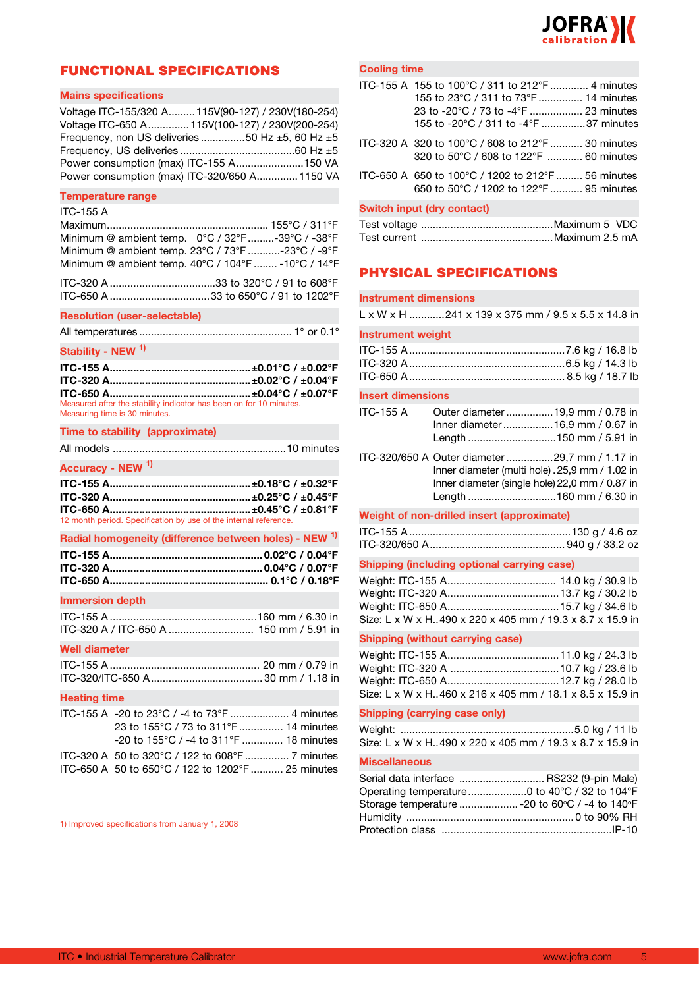

### FUNCTIONAL SPECIFICATIONS

#### **Mains specifications**

| Voltage ITC-155/320 A 115V(90-127) / 230V(180-254)        |  |
|-----------------------------------------------------------|--|
| Voltage ITC-650 A  115V(100-127) / 230V(200-254)          |  |
| Frequency, non US deliveries 50 Hz $\pm$ 5, 60 Hz $\pm$ 5 |  |
|                                                           |  |
| Power consumption (max) ITC-155 A150 VA                   |  |
| Power consumption (max) ITC-320/650 A1150 VA              |  |

#### **Temperature range**

### ITC-155 A

| Minimum @ ambient temp. $0^{\circ}C / 32^{\circ}F$ -39°C / -38°F                           |  |  |  |  |
|--------------------------------------------------------------------------------------------|--|--|--|--|
| Minimum @ ambient temp. $23^{\circ}$ C / $73^{\circ}$ F -23 $^{\circ}$ C / -9 $^{\circ}$ F |  |  |  |  |
| Minimum @ ambient temp. 40°C / 104°F  -10°C / 14°F                                         |  |  |  |  |

#### **Resolution (user-selectable)**

|--|--|--|--|--|

#### **Stability - NEW 1)**

| Measured after the stability indicator has been on for 10 minutes.<br>Measuring time is 30 minutes. |  |
|-----------------------------------------------------------------------------------------------------|--|

#### **Time to stability (approximate)**

| Accuracy - NEW <sup>1)</sup> |                 |
|------------------------------|-----------------|
| $- - - - - - -$              | - .--- . - ---- |

| 12 month period. Specification by use of the internal reference. |  |
|------------------------------------------------------------------|--|

#### **Radial homogeneity (difference between holes) - NEW 1)**

#### **Immersion depth**

#### **Well diameter**

#### **Heating time**

| 23 to 155°C / 73 to 311°F  14 minutes             |  |
|---------------------------------------------------|--|
| $-20$ to 155 °C / $-4$ to 311 °F  18 minutes      |  |
| ITC-320 A 50 to 320°C / 122 to 608°F  7 minutes   |  |
| ITC-650 A 50 to 650°C / 122 to 1202°F  25 minutes |  |

1) Improved specifications from January 1, 2008

#### **Cooling time**

| ITC-155 A 155 to 100°C / 311 to 212°F  4 minutes   |
|----------------------------------------------------|
| 155 to 23°C / 311 to 73°F  14 minutes              |
|                                                    |
| 23 to -20°C / 73 to -4°F  23 minutes               |
| 155 to -20°C / 311 to -4°F 37 minutes              |
|                                                    |
|                                                    |
| ITC-320 A 320 to 100°C / 608 to 212°F  30 minutes  |
| 320 to 50°C / 608 to 122°F  60 minutes             |
|                                                    |
| ITC-650 A 650 to 100°C / 1202 to 212°F  56 minutes |
|                                                    |
| 650 to 50°C / 1202 to 122°F  95 minutes            |
|                                                    |
| <b>Switch input (dry contact)</b>                  |
|                                                    |

#### Test voltage .............................................Maximum 5 VDC Test current .............................................Maximum 2.5 mA

### PHYSICAL SPECIFICATIONS

#### **Instrument dimensions**

| L x W x H 241 x 139 x 375 mm / 9.5 x 5.5 x 14.8 in |  |  |
|----------------------------------------------------|--|--|
|                                                    |  |  |

#### **Instrument weight**

#### **Insert dimensions**

| <b>ITC-155 A</b> | Outer diameter 19,9 mm / 0.78 in<br>Inner diameter16,9 mm / 0.67 in                                                                                 |  |
|------------------|-----------------------------------------------------------------------------------------------------------------------------------------------------|--|
|                  | ITC-320/650 A Outer diameter 29,7 mm / 1.17 in<br>Inner diameter (multi hole) . 25,9 mm / 1.02 in<br>Inner diameter (single hole) 22,0 mm / 0.87 in |  |
|                  | Weight of non-drilled insert (approximate)                                                                                                          |  |
|                  |                                                                                                                                                     |  |

#### ITC-155 A.......................................................130 g / 4.6 oz ITC-320/650 A.............................................. 940 g / 33.2 oz

#### **Shipping (including optional carrying case)**

| Size: L x W x H. 490 x 220 x 405 mm / 19.3 x 8.7 x 15.9 in |  |
|------------------------------------------------------------|--|

#### **Shipping (without carrying case)**

| Size: L x W x H. 460 x 216 x 405 mm / 18.1 x 8.5 x 15.9 in |  |
|------------------------------------------------------------|--|

#### **Shipping (carrying case only)**

| Size: L x W x H490 x 220 x 405 mm / 19.3 x 8.7 x 15.9 in |  |
|----------------------------------------------------------|--|

#### **Miscellaneous**

| Serial data interface  RS232 (9-pin Male)      |
|------------------------------------------------|
| Operating temperature0 to 40°C / 32 to 104°F   |
| Storage temperature  -20 to 60°C / -4 to 140°F |
|                                                |
|                                                |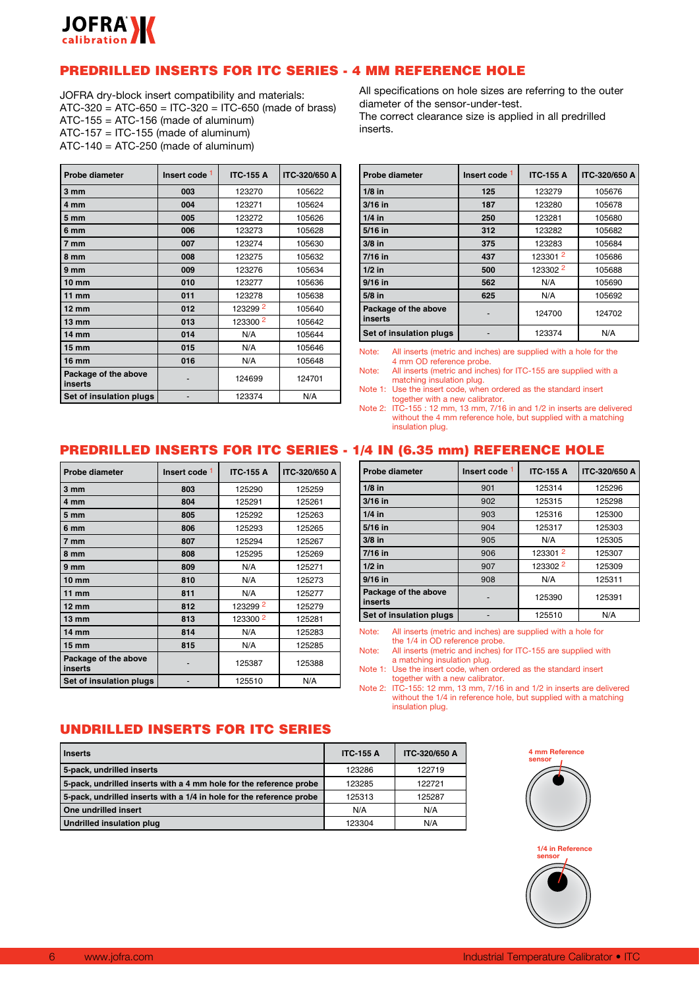

### PREDRILLED INSERTS FOR ITC SERIES - 4 MM REFERENCE HOLE

JOFRA dry-block insert compatibility and materials: ATC-320 = ATC-650 = ITC-320 = ITC-650 (made of brass) ATC-155 = ATC-156 (made of aluminum)  $ATC-157 = ITC-155$  (made of aluminum) ATC-140 = ATC-250 (made of aluminum)

| <b>Probe diameter</b>           | Insert code 1 | <b>ITC-155 A</b> | <b>ITC-320/650 A</b> |
|---------------------------------|---------------|------------------|----------------------|
| 3 mm                            | 003           | 123270           | 105622               |
| 4 mm                            | 004           | 123271           | 105624               |
| 5 mm                            | 005           | 123272           | 105626               |
| 6 mm                            | 006           | 123273           | 105628               |
| 7 mm                            | 007           | 123274           | 105630               |
| 8 mm                            | 008           | 123275           | 105632               |
| 9 mm                            | 009           | 123276           | 105634               |
| 10 mm                           | 010           | 123277           | 105636               |
| $11$ mm                         | 011           | 123278           | 105638               |
| $12 \text{ mm}$                 | 012           | 1232992          | 105640               |
| 13 mm                           | 013           | 123300 2         | 105642               |
| 14 mm                           | 014           | N/A              | 105644               |
| $15 \text{ mm}$                 | 015           | N/A              | 105646               |
| <b>16 mm</b>                    | 016           | N/A              | 105648               |
| Package of the above<br>inserts |               | 124699           | 124701               |
| Set of insulation plugs         |               | 123374           | N/A                  |

All specifications on hole sizes are referring to the outer diameter of the sensor-under-test. The correct clearance size is applied in all predrilled inserts.

| <b>Probe diameter</b>           | Insert code 1 | <b>ITC-155 A</b> | ITC-320/650 A |
|---------------------------------|---------------|------------------|---------------|
| $1/8$ in                        | 125           | 123279           | 105676        |
| $3/16$ in                       | 187           | 123280           | 105678        |
| $1/4$ in                        | 250           | 123281           | 105680        |
| 5/16 in                         | 312           | 123282           | 105682        |
| $3/8$ in                        | 375           | 123283           | 105684        |
| $7/16$ in                       | 437           | 1233012          | 105686        |
| $1/2$ in                        | 500           | 123302 2         | 105688        |
| $9/16$ in                       | 562           | N/A              | 105690        |
| $5/8$ in                        | 625           | N/A              | 105692        |
| Package of the above<br>inserts |               | 124700           | 124702        |
| Set of insulation plugs         |               | 123374           | N/A           |

Note: All inserts (metric and inches) are supplied with a hole for the 4 mm OD reference probe.

Note: All inserts (metric and inches) for ITC-155 are supplied with a matching insulation plug.

Note 1: Use the insert code, when ordered as the standard insert together with a new calibrator.

Note 2: ITC-155 : 12 mm, 13 mm, 7/16 in and 1/2 in inserts are delivered without the 4 mm reference hole, but supplied with a matching insulation plug.

## PREDRILLED INSERTS FOR ITC SERIES - 1/4 IN (6.35 mm) REFERENCE HOLE

| Probe diameter                  | Insert code 1 | <b>ITC-155 A</b>    | ITC-320/650 A |
|---------------------------------|---------------|---------------------|---------------|
| 3 mm                            | 803           | 125290              | 125259        |
| 4 mm                            | 804           | 125291              | 125261        |
| 5 mm                            | 805           | 125292              | 125263        |
| 6 mm                            | 806           | 125293              | 125265        |
| 7 mm                            | 807           | 125294              | 125267        |
| 8 mm                            | 808           | 125295              | 125269        |
| 9 mm                            | 809           | N/A                 | 125271        |
| $10 \, \text{mm}$               | 810           | N/A                 | 125273        |
| $11$ mm                         | 811           | N/A                 | 125277        |
| $12 \text{ mm}$                 | 812           | 1232992             | 125279        |
| $13 \text{ mm}$                 | 813           | 123300 <sup>2</sup> | 125281        |
| 14 mm                           | 814           | N/A                 | 125283        |
| $15 \, \mathrm{mm}$             | 815           | N/A                 | 125285        |
| Package of the above<br>inserts |               | 125387              | 125388        |
| Set of insulation plugs         |               | 125510              | N/A           |

| Probe diameter                  | Insert code <sup>1</sup> | <b>ITC-155 A</b>    | ITC-320/650 A |
|---------------------------------|--------------------------|---------------------|---------------|
| $1/8$ in                        | 901                      | 125314              | 125296        |
| 3/16 in                         | 902                      | 125315              | 125298        |
| $1/4$ in                        | 903                      | 125316              | 125300        |
| 5/16 in                         | 904                      | 125317              | 125303        |
| $3/8$ in                        | 905                      | N/A                 | 125305        |
| 7/16 in                         | 906                      | 123301 <sup>2</sup> | 125307        |
| $1/2$ in                        | 907                      | 123302 2            | 125309        |
| $9/16$ in                       | 908                      | N/A                 | 125311        |
| Package of the above<br>inserts |                          | 125390              | 125391        |
| Set of insulation plugs         |                          | 125510              | N/A           |

Note: All inserts (metric and inches) are supplied with a hole for the 1/4 in OD reference probe.

Note: All inserts (metric and inches) for ITC-155 are supplied with a matching insulation plug.

Note 1: Use the insert code, when ordered as the standard insert together with a new calibrator.

Note 2: ITC-155: 12 mm, 13 mm, 7/16 in and 1/2 in inserts are delivered without the 1/4 in reference hole, but supplied with a matching insulation plug.

### UNDRILLED INSERTS FOR ITC SERIES

| Inserts                                                              | <b>ITC-155 A</b> | ITC-320/650 A |
|----------------------------------------------------------------------|------------------|---------------|
| 5-pack, undrilled inserts                                            | 123286           | 122719        |
| 5-pack, undrilled inserts with a 4 mm hole for the reference probe   | 123285           | 122721        |
| 5-pack, undrilled inserts with a 1/4 in hole for the reference probe | 125313           | 125287        |
| One undrilled insert                                                 | N/A              | N/A           |
| Undrilled insulation plug                                            | 123304           | N/A           |



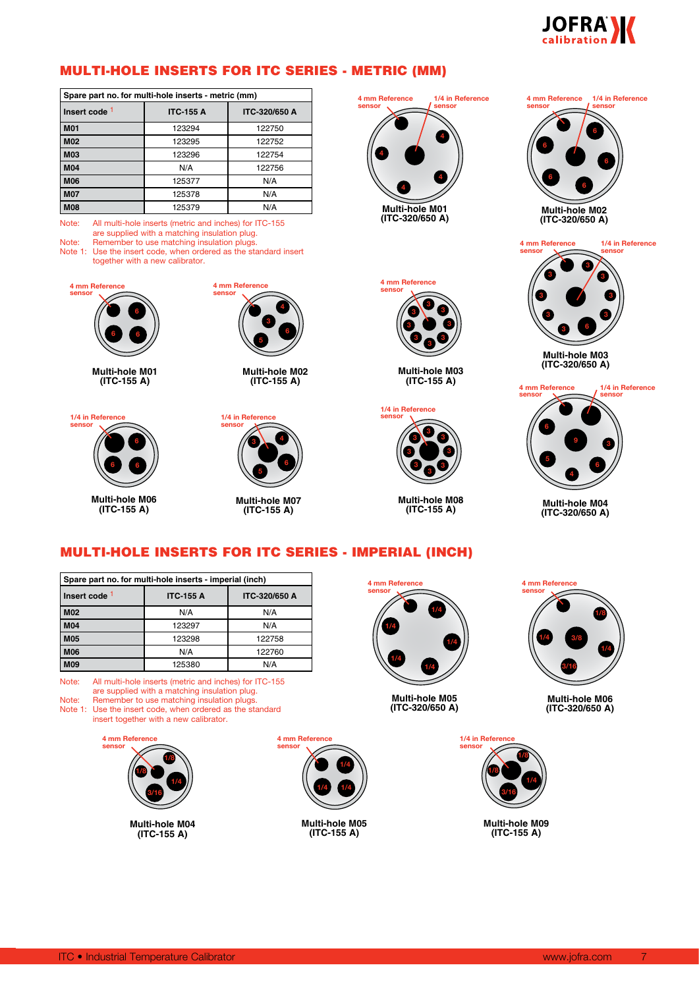

### MULTI-HOLE INSERTS FOR ITC SERIES - METRIC (MM)

| Spare part no. for multi-hole inserts - metric (mm) |                  |               |  |
|-----------------------------------------------------|------------------|---------------|--|
| Insert code 1                                       | <b>ITC-155 A</b> | ITC-320/650 A |  |
| <b>M01</b>                                          | 123294           | 122750        |  |
| <b>M02</b>                                          | 123295           | 122752        |  |
| <b>M03</b>                                          | 123296           | 122754        |  |
| <b>M04</b>                                          | N/A              | 122756        |  |
| <b>M06</b>                                          | 125377           | N/A           |  |
| <b>M07</b>                                          | 125378           | N/A           |  |
| <b>M08</b>                                          | 125379           | N/A           |  |

Note: All multi-hole inserts (metric and inches) for ITC-155 are supplied with a matching insulation plug. Note: Remember to use matching insulation plugs.

Note 1: Use the insert code, when ordered as the standard insert together with a new calibrator.



**Multi-hole M01 (ITC-155 A)**

**1/4 in Reference sensor**



**Multi-hole M02 (ITC-155 A)**



**Multi-hole M06 (ITC-155 A)**



**Multi-hole M07 (ITC-155 A)**





**Multi-hole M03 (ITC-155 A)**



**Multi-hole M08 (ITC-155 A)**









**Multi-hole M04 (ITC-320/650 A)**

**3/8**

**Multi-hole M06 (ITC-320/650 A)**

**3/16**

**1/4**

**4 mm Reference sensor**

**1/4**

**1/8**

**4**

### MULTI-HOLE INSERTS FOR ITC SERIES - IMPERIAL (INCH)

| Spare part no. for multi-hole inserts - imperial (inch) |                  |                      |  |
|---------------------------------------------------------|------------------|----------------------|--|
| Insert code <sup>1</sup>                                | <b>ITC-155 A</b> | <b>ITC-320/650 A</b> |  |
| <b>M02</b>                                              | N/A              | N/A                  |  |
| <b>M04</b>                                              | 123297           | N/A                  |  |
| <b>M05</b>                                              | 123298           | 122758               |  |
| <b>M06</b>                                              | N/A              | 122760               |  |
| <b>M09</b>                                              | 125380           | N/A                  |  |

Note: All multi-hole inserts (metric and inches) for ITC-155 are supplied with a matching insulation plug.

Note: Remember to use matching insulation plugs.

Note 1: Use the insert code, when ordered as the standard insert together with a new calibrator.



**Multi-hole M04 (ITC-155 A)**



**Multi-hole M05 (ITC-155 A)**



**Multi-hole M05 (ITC-320/650 A)**



**Multi-hole M09 (ITC-155 A)**